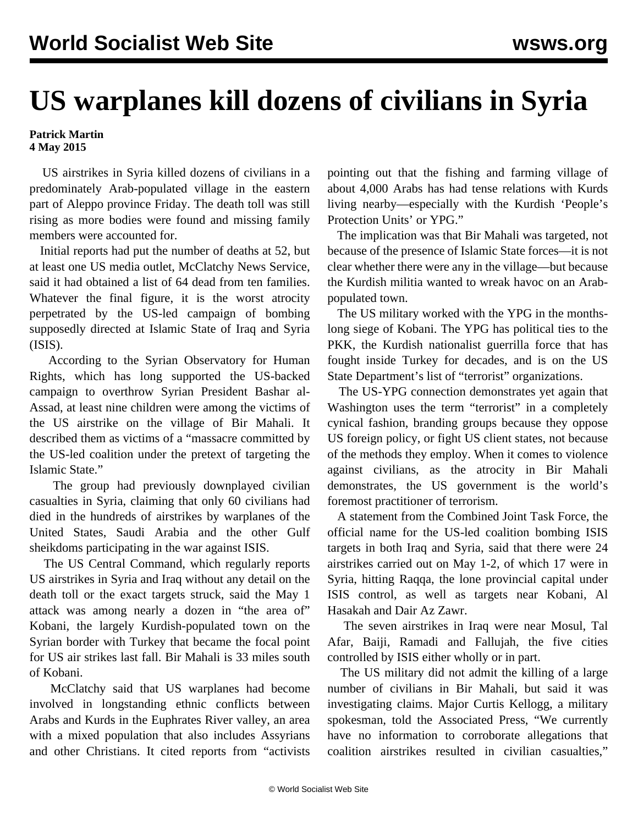## **US warplanes kill dozens of civilians in Syria**

## **Patrick Martin 4 May 2015**

 US airstrikes in Syria killed dozens of civilians in a predominately Arab-populated village in the eastern part of Aleppo province Friday. The death toll was still rising as more bodies were found and missing family members were accounted for.

 Initial reports had put the number of deaths at 52, but at least one US media outlet, McClatchy News Service, said it had obtained a list of 64 dead from ten families. Whatever the final figure, it is the worst atrocity perpetrated by the US-led campaign of bombing supposedly directed at Islamic State of Iraq and Syria (ISIS).

 According to the Syrian Observatory for Human Rights, which has long supported the US-backed campaign to overthrow Syrian President Bashar al-Assad, at least nine children were among the victims of the US airstrike on the village of Bir Mahali. It described them as victims of a "massacre committed by the US-led coalition under the pretext of targeting the Islamic State."

 The group had previously downplayed civilian casualties in Syria, claiming that only 60 civilians had died in the hundreds of airstrikes by warplanes of the United States, Saudi Arabia and the other Gulf sheikdoms participating in the war against ISIS.

 The US Central Command, which regularly reports US airstrikes in Syria and Iraq without any detail on the death toll or the exact targets struck, said the May 1 attack was among nearly a dozen in "the area of" Kobani, the largely Kurdish-populated town on the Syrian border with Turkey that became the focal point for US air strikes last fall. Bir Mahali is 33 miles south of Kobani.

 McClatchy said that US warplanes had become involved in longstanding ethnic conflicts between Arabs and Kurds in the Euphrates River valley, an area with a mixed population that also includes Assyrians and other Christians. It cited reports from "activists

pointing out that the fishing and farming village of about 4,000 Arabs has had tense relations with Kurds living nearby—especially with the Kurdish 'People's Protection Units' or YPG."

 The implication was that Bir Mahali was targeted, not because of the presence of Islamic State forces—it is not clear whether there were any in the village—but because the Kurdish militia wanted to wreak havoc on an Arabpopulated town.

 The US military worked with the YPG in the monthslong siege of Kobani. The YPG has political ties to the PKK, the Kurdish nationalist guerrilla force that has fought inside Turkey for decades, and is on the US State Department's list of "terrorist" organizations.

 The US-YPG connection demonstrates yet again that Washington uses the term "terrorist" in a completely cynical fashion, branding groups because they oppose US foreign policy, or fight US client states, not because of the methods they employ. When it comes to violence against civilians, as the atrocity in Bir Mahali demonstrates, the US government is the world's foremost practitioner of terrorism.

 A statement from the Combined Joint Task Force, the official name for the US-led coalition bombing ISIS targets in both Iraq and Syria, said that there were 24 airstrikes carried out on May 1-2, of which 17 were in Syria, hitting Raqqa, the lone provincial capital under ISIS control, as well as targets near Kobani, Al Hasakah and Dair Az Zawr.

 The seven airstrikes in Iraq were near Mosul, Tal Afar, Baiji, Ramadi and Fallujah, the five cities controlled by ISIS either wholly or in part.

 The US military did not admit the killing of a large number of civilians in Bir Mahali, but said it was investigating claims. Major Curtis Kellogg, a military spokesman, told the Associated Press, "We currently have no information to corroborate allegations that coalition airstrikes resulted in civilian casualties,"